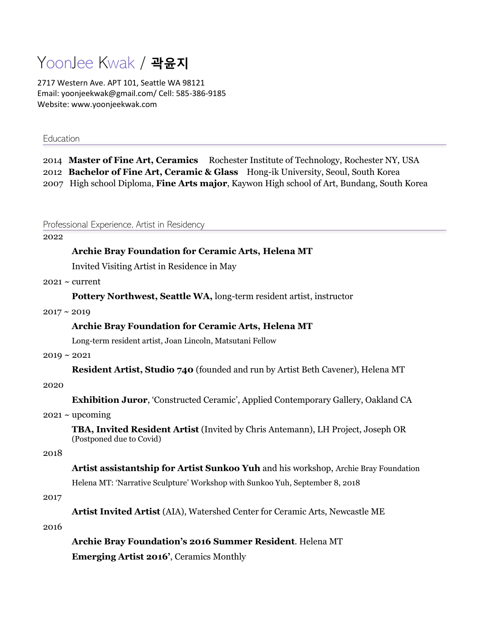# YoonJee Kwak / **곽윤지**

2717 Western Ave. APT 101, Seattle WA 98121 Email: yoonjeekwak@gmail.com/ Cell: 585-386-9185 Website: www.yoonjeekwak.com

## Education

2014 **Master of Fine Art, Ceramics** Rochester Institute of Technology, Rochester NY, USA 2012 **Bachelor of Fine Art, Ceramic & Glass** Hong-ik University, Seoul, South Korea 2007 High school Diploma, **Fine Arts major**, Kaywon High school of Art, Bundang, South Korea

Professional Experience, Artist in Residency

#### 2022

## **Archie Bray Foundation for Ceramic Arts, Helena MT**

Invited Visiting Artist in Residence in May

 $2021 \sim$  current

**Pottery Northwest, Seattle WA,** long-term resident artist, instructor

## $2017 \sim 2019$

#### **Archie Bray Foundation for Ceramic Arts, Helena MT**

Long-term resident artist, Joan Lincoln, Matsutani Fellow

## $2019 \sim 2021$

**Resident Artist, Studio 740** (founded and run by Artist Beth Cavener), Helena MT

#### 2020

**Exhibition Juror**, 'Constructed Ceramic', Applied Contemporary Gallery, Oakland CA

#### $2021 \sim$  upcoming

**TBA, Invited Resident Artist** (Invited by Chris Antemann), LH Project, Joseph OR (Postponed due to Covid)

#### 2018

**Artist assistantship for Artist Sunkoo Yuh** and his workshop, Archie Bray Foundation Helena MT: 'Narrative Sculpture' Workshop with Sunkoo Yuh, September 8, 2018

#### 2017

**Artist Invited Artist** (AIA), Watershed Center for Ceramic Arts, Newcastle ME

## 2016

**Archie Bray Foundation's 2016 Summer Resident**. Helena MT

**Emerging Artist 2016'**, Ceramics Monthly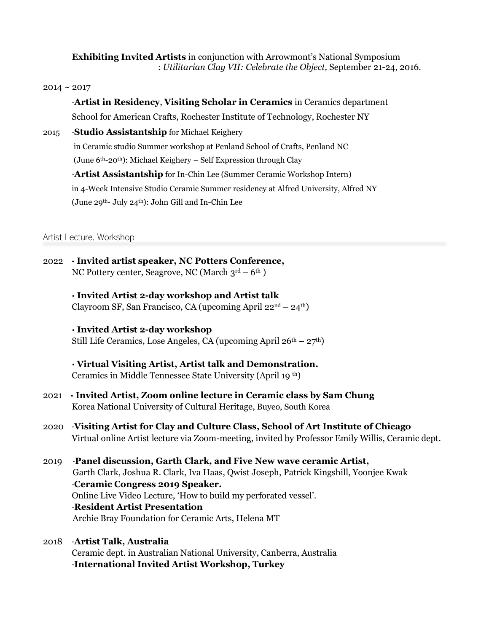**Exhibiting Invited Artists** in conjunction with Arrowmont's National Symposium : *Utilitarian Clay VII: Celebrate the Object,* September 21-24, 2016.

## $2014 \sim 2017$

·**Artist in Residency**, **Visiting Scholar in Ceramics** in Ceramics department School for American Crafts, Rochester Institute of Technology, Rochester NY 2015 ·**Studio Assistantship** for Michael Keighery in Ceramic studio Summer workshop at Penland School of Crafts, Penland NC (June 6th-20th): Michael Keighery – Self Expression through Clay ·**Artist Assistantship** for In-Chin Lee (Summer Ceramic Workshop Intern) in 4-Week Intensive Studio Ceramic Summer residency at Alfred University, Alfred NY (June 29th- July 24th): John Gill and In-Chin Lee

Artist Lecture, Workshop

2022 **· Invited artist speaker, NC Potters Conference,**  NC Pottery center, Seagrove, NC (March  $3^{\text{rd}} - 6^{\text{th}}$ )

# **· Invited Artist 2-day workshop and Artist talk**

Clayroom SF, San Francisco, CA (upcoming April  $22<sup>nd</sup> – 24<sup>th</sup>$ )

# **· Invited Artist 2-day workshop**

Still Life Ceramics, Lose Angeles, CA (upcoming April  $26<sup>th</sup> - 27<sup>th</sup>$ )

- **· Virtual Visiting Artist, Artist talk and Demonstration.** Ceramics in Middle Tennessee State University (April 19 th)
- 2021 **· Invited Artist, Zoom online lecture in Ceramic class by Sam Chung** Korea National University of Cultural Heritage, Buyeo, South Korea
- 2020 ·**Visiting Artist for Clay and Culture Class, School of Art Institute of Chicago** Virtual online Artist lecture via Zoom-meeting, invited by Professor Emily Willis, Ceramic dept.
- 2019 ·**Panel discussion, Garth Clark, and Five New wave ceramic Artist,** Garth Clark, Joshua R. Clark, Iva Haas, Qwist Joseph, Patrick Kingshill, Yoonjee Kwak ·**Ceramic Congress 2019 Speaker.**  Online Live Video Lecture, 'How to build my perforated vessel'. ·**Resident Artist Presentation** Archie Bray Foundation for Ceramic Arts, Helena MT
- 2018 ·**Artist Talk, Australia** Ceramic dept. in Australian National University, Canberra, Australia ·**International Invited Artist Workshop, Turkey**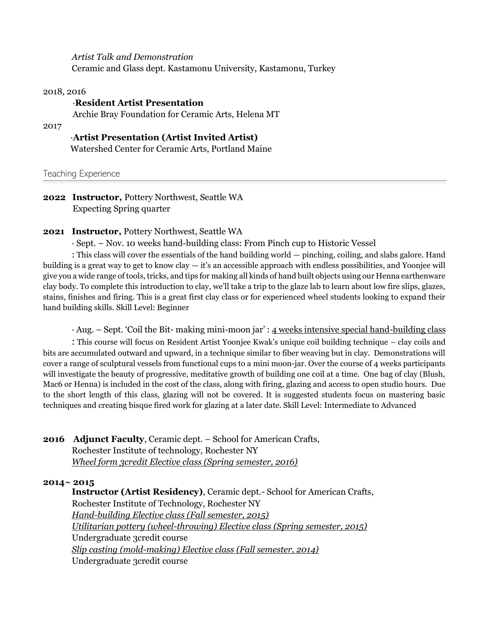*Artist Talk and Demonstration* Ceramic and Glass dept. Kastamonu University, Kastamonu, Turkey

## 2018, 2016

# ·**Resident Artist Presentation**

Archie Bray Foundation for Ceramic Arts, Helena MT

## 2017

# ·**Artist Presentation (Artist Invited Artist)**

Watershed Center for Ceramic Arts, Portland Maine

Teaching Experience

**2022 Instructor,** Pottery Northwest, Seattle WA Expecting Spring quarter

# **2021 Instructor,** Pottery Northwest, Seattle WA

· Sept. – Nov. 10 weeks hand-building class: From Pinch cup to Historic Vessel

: This class will cover the essentials of the hand building world — pinching, coiling, and slabs galore. Hand building is a great way to get to know clay  $-$  it's an accessible approach with endless possibilities, and Yoonjee will give you a wide range of tools, tricks, and tips for making all kinds of hand built objects using our Henna earthenware clay body. To complete this introduction to clay, we'll take a trip to the glaze lab to learn about low fire slips, glazes, stains, finishes and firing. This is a great first clay class or for experienced wheel students looking to expand their hand building skills. Skill Level: Beginner

· Aug. – Sept. 'Coil the Bit- making mini-moon jar' : 4 weeks intensive special hand-building class

: This course will focus on Resident Artist Yoonjee Kwak's unique coil building technique – clay coils and bits are accumulated outward and upward, in a technique similar to fiber weaving but in clay. Demonstrations will cover a range of sculptural vessels from functional cups to a mini moon-jar. Over the course of 4 weeks participants will investigate the beauty of progressive, meditative growth of building one coil at a time. One bag of clay (Blush, Mac6 or Henna) is included in the cost of the class, along with firing, glazing and access to open studio hours. Due to the short length of this class, glazing will not be covered. It is suggested students focus on mastering basic techniques and creating bisque fired work for glazing at a later date. Skill Level: Intermediate to Advanced

# **2016 Adjunct Faculty**, Ceramic dept. – School for American Crafts, Rochester Institute of technology, Rochester NY *Wheel form 3credit Elective class (Spring semester, 2016)*

# **2014~ 2015**

 **Instructor (Artist Residency)**, Ceramic dept.- School for American Crafts, Rochester Institute of Technology, Rochester NY *Hand-building Elective class (Fall semester, 2015) Utilitarian pottery (wheel-throwing) Elective class (Spring semester, 2015)* Undergraduate 3credit course *Slip casting (mold-making) Elective class (Fall semester, 2014)* Undergraduate 3credit course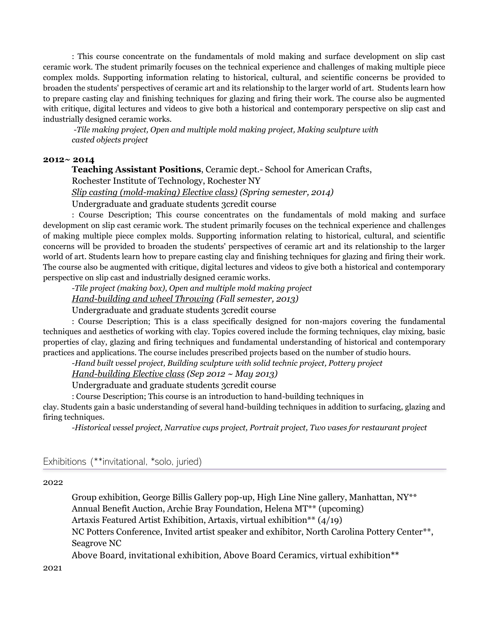: This course concentrate on the fundamentals of mold making and surface development on slip cast ceramic work. The student primarily focuses on the technical experience and challenges of making multiple piece complex molds. Supporting information relating to historical, cultural, and scientific concerns be provided to broaden the students' perspectives of ceramic art and its relationship to the larger world of art. Students learn how to prepare casting clay and finishing techniques for glazing and firing their work. The course also be augmented with critique, digital lectures and videos to give both a historical and contemporary perspective on slip cast and industrially designed ceramic works.

*-Tile making project, Open and multiple mold making project, Making sculpture with casted objects project*

## **2012~ 2014**

**Teaching Assistant Positions**, Ceramic dept.- School for American Crafts, Rochester Institute of Technology, Rochester NY

*Slip casting (mold-making) Elective class) (Spring semester, 2014)*

Undergraduate and graduate students 3credit course

: Course Description; This course concentrates on the fundamentals of mold making and surface development on slip cast ceramic work. The student primarily focuses on the technical experience and challenges of making multiple piece complex molds. Supporting information relating to historical, cultural, and scientific concerns will be provided to broaden the students' perspectives of ceramic art and its relationship to the larger world of art. Students learn how to prepare casting clay and finishing techniques for glazing and firing their work. The course also be augmented with critique, digital lectures and videos to give both a historical and contemporary perspective on slip cast and industrially designed ceramic works.

*-Tile project (making box), Open and multiple mold making project Hand-building and wheel Throwing (Fall semester, 2013)*

Undergraduate and graduate students 3credit course

: Course Description; This is a class specifically designed for non-majors covering the fundamental techniques and aesthetics of working with clay. Topics covered include the forming techniques, clay mixing, basic properties of clay, glazing and firing techniques and fundamental understanding of historical and contemporary practices and applications. The course includes prescribed projects based on the number of studio hours.

*-Hand built vessel project, Building sculpture with solid technic project, Pottery project*

*Hand-building Elective class (Sep 2012 ~ May 2013)*

Undergraduate and graduate students 3credit course

: Course Description; This course is an introduction to hand-building techniques in

clay. Students gain a basic understanding of several hand-building techniques in addition to surfacing, glazing and firing techniques.

*-Historical vessel project, Narrative cups project, Portrait project, Two vases for restaurant project*

## Exhibitions (\*\*invitational, \*solo, juried)

## 2022

Group exhibition, George Billis Gallery pop-up, High Line Nine gallery, Manhattan, NY\*\* Annual Benefit Auction, Archie Bray Foundation, Helena MT\*\* (upcoming) Artaxis Featured Artist Exhibition, Artaxis, virtual exhibition\*\* (4/19) NC Potters Conference, Invited artist speaker and exhibitor, North Carolina Pottery Center\*\*, Seagrove NC

Above Board, invitational exhibition, Above Board Ceramics, virtual exhibition\*\*

2021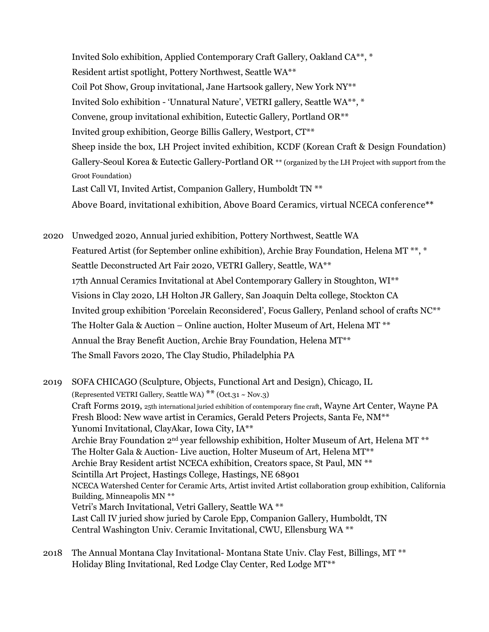Invited Solo exhibition, Applied Contemporary Craft Gallery, Oakland CA\*\*, \* Resident artist spotlight, Pottery Northwest, Seattle WA\*\* Coil Pot Show, Group invitational, Jane Hartsook gallery, New York NY\*\* Invited Solo exhibition - 'Unnatural Nature', VETRI gallery, Seattle WA\*\*, \* Convene, group invitational exhibition, Eutectic Gallery, Portland OR\*\* Invited group exhibition, George Billis Gallery, Westport, CT\*\* Sheep inside the box, LH Project invited exhibition, KCDF (Korean Craft & Design Foundation) Gallery-Seoul Korea & Eutectic Gallery-Portland OR \*\* (organized by the LH Project with support from the Groot Foundation) Last Call VI, Invited Artist, Companion Gallery, Humboldt TN \*\* Above Board, invitational exhibition, Above Board Ceramics, virtual NCECA conference\*\*

2020 Unwedged 2020, Annual juried exhibition, Pottery Northwest, Seattle WA Featured Artist (for September online exhibition), Archie Bray Foundation, Helena MT \*\*, \* Seattle Deconstructed Art Fair 2020, VETRI Gallery, Seattle, WA\*\* 17th Annual Ceramics Invitational at Abel Contemporary Gallery in Stoughton, WI\*\* Visions in Clay 2020, LH Holton JR Gallery, San Joaquin Delta college, Stockton CA Invited group exhibition 'Porcelain Reconsidered', Focus Gallery, Penland school of crafts NC\*\* The Holter Gala & Auction – Online auction, Holter Museum of Art, Helena MT<sup>\*\*</sup> Annual the Bray Benefit Auction, Archie Bray Foundation, Helena MT\*\* The Small Favors 2020, The Clay Studio, Philadelphia PA

2019 SOFA CHICAGO (Sculpture, Objects, Functional Art and Design), Chicago, IL (Represented VETRI Gallery, Seattle WA)  $**$  (Oct.31 ~ Nov.3) Craft Forms 2019, 25th international juried exhibition of contemporary fine craft, Wayne Art Center, Wayne PA Fresh Blood: New wave artist in Ceramics, Gerald Peters Projects, Santa Fe, NM\*\* Yunomi Invitational, ClayAkar, Iowa City, IA\*\* Archie Bray Foundation 2<sup>nd</sup> year fellowship exhibition, Holter Museum of Art, Helena MT<sup>\*\*</sup> The Holter Gala & Auction- Live auction, Holter Museum of Art, Helena MT\*\* Archie Bray Resident artist NCECA exhibition, Creators space, St Paul, MN \*\* Scintilla Art Project, Hastings College, Hastings, NE 68901 NCECA Watershed Center for Ceramic Arts, Artist invited Artist collaboration group exhibition, California Building, Minneapolis MN \*\* Vetri's March Invitational, Vetri Gallery, Seattle WA \*\* Last Call IV juried show juried by Carole Epp, Companion Gallery, Humboldt, TN Central Washington Univ. Ceramic Invitational, CWU, Ellensburg WA \*\*

2018 The Annual Montana Clay Invitational- Montana State Univ. Clay Fest, Billings, MT \*\* Holiday Bling Invitational, Red Lodge Clay Center, Red Lodge MT\*\*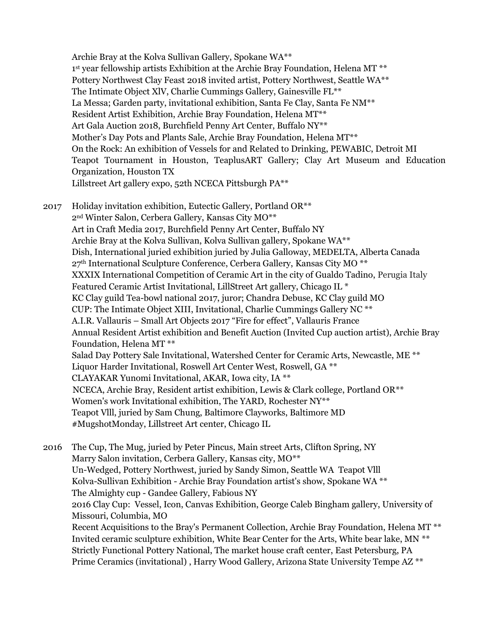Archie Bray at the Kolva Sullivan Gallery, Spokane WA\*\* 1<sup>st</sup> year fellowship artists Exhibition at the Archie Bray Foundation, Helena MT<sup>\*\*</sup> Pottery Northwest Clay Feast 2018 invited artist, Pottery Northwest, Seattle WA\*\* The Intimate Object XlV, Charlie Cummings Gallery, Gainesville FL\*\* La Messa; Garden party, invitational exhibition, Santa Fe Clay, Santa Fe NM\*\* Resident Artist Exhibition, Archie Bray Foundation, Helena MT\*\* Art Gala Auction 2018, Burchfield Penny Art Center, Buffalo NY\*\* Mother's Day Pots and Plants Sale, Archie Bray Foundation, Helena MT\*\* On the Rock: An exhibition of Vessels for and Related to Drinking, PEWABIC, Detroit MI Teapot Tournament in Houston, TeaplusART Gallery; Clay Art Museum and Education Organization, Houston TX Lillstreet Art gallery expo, 52th NCECA Pittsburgh PA\*\*

2017 Holiday invitation exhibition, Eutectic Gallery, Portland OR\*\* 2nd Winter Salon, Cerbera Gallery, Kansas City MO\*\* Art in Craft Media 2017, Burchfield Penny Art Center, Buffalo NY Archie Bray at the Kolva Sullivan, Kolva Sullivan gallery, Spokane WA\*\* Dish, International juried exhibition juried by Julia Galloway, MEDELTA, Alberta Canada 27<sup>th</sup> International Sculpture Conference, Cerbera Gallery, Kansas City MO<sup>\*\*</sup> XXXIX International Competition of Ceramic Art in the city of Gualdo Tadino, Perugia Italy Featured Ceramic Artist Invitational, LillStreet Art gallery, Chicago IL \* KC Clay guild Tea-bowl national 2017, juror; Chandra Debuse, KC Clay guild MO CUP: The Intimate Object XIII, Invitational, Charlie Cummings Gallery NC \*\* A.I.R. Vallauris – Small Art Objects 2017 "Fire for effect", Vallauris France Annual Resident Artist exhibition and Benefit Auction (Invited Cup auction artist), Archie Bray Foundation, Helena MT \*\* Salad Day Pottery Sale Invitational, Watershed Center for Ceramic Arts, Newcastle, ME \*\* Liquor Harder Invitational, Roswell Art Center West, Roswell, GA \*\* CLAYAKAR Yunomi Invitational, AKAR, Iowa city, IA \*\* NCECA, Archie Bray, Resident artist exhibition, Lewis & Clark college, Portland OR\*\* Women's work Invitational exhibition, The YARD, Rochester NY\*\* Teapot Vlll, juried by Sam Chung, Baltimore Clayworks, Baltimore MD #MugshotMonday, Lillstreet Art center, Chicago IL

2016 The Cup, The Mug, juried by Peter Pincus, Main street Arts, Clifton Spring, NY Marry Salon invitation, Cerbera Gallery, Kansas city, MO\*\* Un-Wedged, Pottery Northwest, juried by Sandy Simon, Seattle WA Teapot Vlll Kolva-Sullivan Exhibition - Archie Bray Foundation artist's show, Spokane WA \*\* The Almighty cup - Gandee Gallery, Fabious NY 2016 Clay Cup: Vessel, Icon, Canvas Exhibition, George Caleb Bingham gallery, University of Missouri, Columbia, MO Recent Acquisitions to the Bray's Permanent Collection, Archie Bray Foundation, Helena MT \*\* Invited ceramic sculpture exhibition, White Bear Center for the Arts, White bear lake, MN \*\* Strictly Functional Pottery National, The market house craft center, East Petersburg, PA Prime Ceramics (invitational), Harry Wood Gallery, Arizona State University Tempe AZ \*\*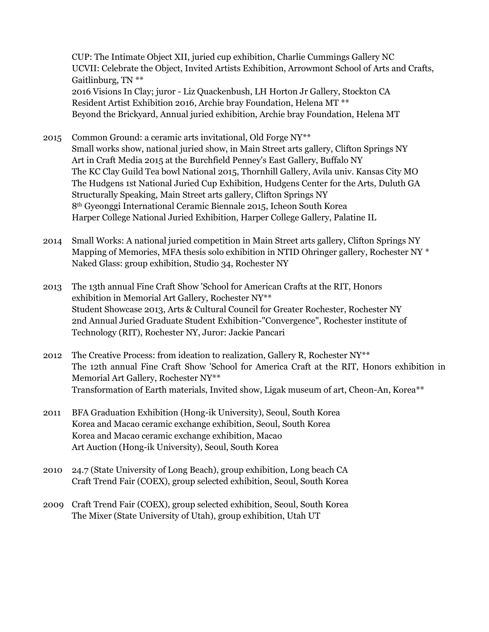CUP: The Intimate Object XII, juried cup exhibition, Charlie Cummings Gallery NC UCVII: Celebrate the Object, Invited Artists Exhibition, Arrowmont School of Arts and Crafts, Gaitlinburg, TN \*\* 2016 Visions In Clay; juror - Liz Quackenbush, LH Horton Jr Gallery, Stockton CA Resident Artist Exhibition 2016, Archie bray Foundation, Helena MT \*\* Beyond the Brickyard, Annual juried exhibition, Archie bray Foundation, Helena MT

- 2015 Common Ground: a ceramic arts invitational, Old Forge  $NY^*$ Small works show, national juried show, in Main Street arts gallery, Clifton Springs NY Art in Craft Media 2015 at the Burchfield Penney's East Gallery, Buffalo NY The KC Clay Guild Tea bowl National 2015, Thornhill Gallery, Avila univ. Kansas City MO The Hudgens 1st National Juried Cup Exhibition, Hudgens Center for the Arts, Duluth GA Structurally Speaking, Main Street arts gallery, Clifton Springs NY 8th Gyeonggi International Ceramic Biennale 2015, Icheon South Korea Harper College National Juried Exhibition, Harper College Gallery, Palatine IL
- 2014 Small Works: A national juried competition in Main Street arts gallery, Clifton Springs NY Mapping of Memories, MFA thesis solo exhibition in NTID Ohringer gallery, Rochester NY \* Naked Glass: group exhibition, Studio 34, Rochester NY
- 2013 The 13th annual Fine Craft Show 'School for American Crafts at the RIT, Honors exhibition in Memorial Art Gallery, Rochester NY\*\* Student Showcase 2013, Arts & Cultural Council for Greater Rochester, Rochester NY 2nd Annual Juried Graduate Student Exhibition-"Convergence", Rochester institute of Technology (RIT), Rochester NY, Juror: Jackie Pancari
- 2012 The Creative Process: from ideation to realization, Gallery R, Rochester  $NY^*$ The 12th annual Fine Craft Show 'School for America Craft at the RIT, Honors exhibition in Memorial Art Gallery, Rochester NY\*\* Transformation of Earth materials, Invited show, Ligak museum of art, Cheon-An, Korea\*\*
- 2011 BFA Graduation Exhibition (Hong-ik University), Seoul, South Korea Korea and Macao ceramic exchange exhibition, Seoul, South Korea Korea and Macao ceramic exchange exhibition, Macao Art Auction (Hong-ik University), Seoul, South Korea
- 2010 24.7 (State University of Long Beach), group exhibition, Long beach CA Craft Trend Fair (COEX), group selected exhibition, Seoul, South Korea
- 2009 Craft Trend Fair (COEX), group selected exhibition, Seoul, South Korea The Mixer (State University of Utah), group exhibition, Utah UT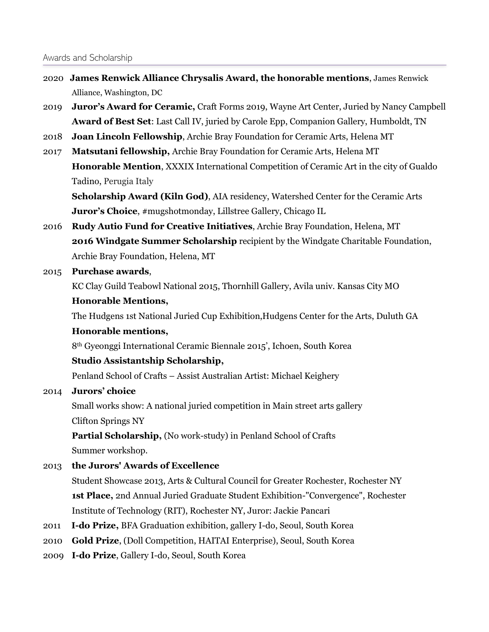- 2020 **James Renwick Alliance Chrysalis Award, the honorable mentions**, James Renwick Alliance, Washington, DC
- 2019 **Juror's Award for Ceramic,** Craft Forms 2019, Wayne Art Center, Juried by Nancy Campbell **Award of Best Set**: Last Call IV, juried by Carole Epp, Companion Gallery, Humboldt, TN
- 2018 **Joan Lincoln Fellowship**, Archie Bray Foundation for Ceramic Arts, Helena MT
- 2017 **Matsutani fellowship,** Archie Bray Foundation for Ceramic Arts, Helena MT **Honorable Mention**, XXXIX International Competition of Ceramic Art in the city of Gualdo Tadino, Perugia Italy

**Scholarship Award (Kiln God)**, AIA residency, Watershed Center for the Ceramic Arts **Juror's Choice**, #mugshotmonday, Lillstree Gallery, Chicago IL

- 2016 **Rudy Autio Fund for Creative Initiatives**, Archie Bray Foundation, Helena, MT **2016 Windgate Summer Scholarship** recipient by the Windgate Charitable Foundation, Archie Bray Foundation, Helena, MT
- 2015 **Purchase awards**,

KC Clay Guild Teabowl National 2015, Thornhill Gallery, Avila univ. Kansas City MO

## **Honorable Mentions,**

The Hudgens 1st National Juried Cup Exhibition,Hudgens Center for the Arts, Duluth GA

## **Honorable mentions,**

8th Gyeonggi International Ceramic Biennale 2015', Ichoen, South Korea

## **Studio Assistantship Scholarship,**

Penland School of Crafts – Assist Australian Artist: Michael Keighery

# 2014 **Jurors' choice**

Small works show: A national juried competition in Main street arts gallery Clifton Springs NY

**Partial Scholarship,** (No work-study) in Penland School of Crafts Summer workshop.

# 2013 **the Jurors' Awards of Excellence**

Student Showcase 2013, Arts & Cultural Council for Greater Rochester, Rochester NY **1st Place,** 2nd Annual Juried Graduate Student Exhibition-"Convergence", Rochester Institute of Technology (RIT), Rochester NY, Juror: Jackie Pancari

- 2011 **I-do Prize,** BFA Graduation exhibition, gallery I-do, Seoul, South Korea
- 2010 **Gold Prize**, (Doll Competition, HAITAI Enterprise), Seoul, South Korea
- 2009 **I-do Prize**, Gallery I-do, Seoul, South Korea